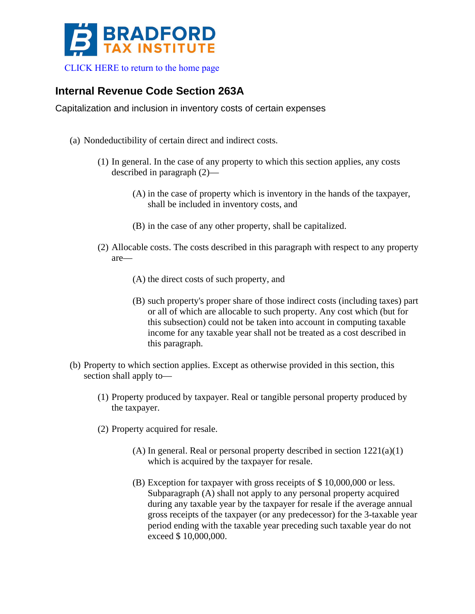

## **Internal Revenue Code Section 263A**

Capitalization and inclusion in inventory costs of certain expenses

- (a) Nondeductibility of certain direct and indirect costs.
	- (1) In general. In the case of any property to which this section applies, any costs described in paragraph (2)—
		- (A) in the case of property which is inventory in the hands of the taxpayer, shall be included in inventory costs, and
		- (B) in the case of any other property, shall be capitalized.
	- (2) Allocable costs. The costs described in this paragraph with respect to any property are—
		- (A) the direct costs of such property, and
		- (B) such property's proper share of those indirect costs (including taxes) part or all of which are allocable to such property. Any cost which (but for this subsection) could not be taken into account in computing taxable income for any taxable year shall not be treated as a cost described in this paragraph.
- (b) Property to which section applies. Except as otherwise provided in this section, this section shall apply to—
	- (1) Property produced by taxpayer. Real or tangible personal property produced by the taxpayer.
	- (2) Property acquired for resale.
		- (A) In general. Real or personal property described in section 1221(a)(1) which is acquired by the taxpayer for resale.
		- (B) Exception for taxpayer with gross receipts of \$ 10,000,000 or less. Subparagraph (A) shall not apply to any personal property acquired during any taxable year by the taxpayer for resale if the average annual gross receipts of the taxpayer (or any predecessor) for the 3-taxable year period ending with the taxable year preceding such taxable year do not exceed \$ 10,000,000.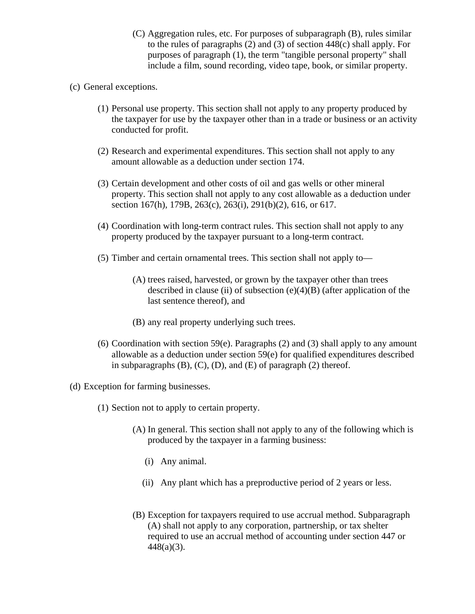(C) Aggregation rules, etc. For purposes of subparagraph (B), rules similar to the rules of paragraphs (2) and (3) of section 448(c) shall apply. For purposes of paragraph (1), the term "tangible personal property" shall include a film, sound recording, video tape, book, or similar property.

## (c) General exceptions.

- (1) Personal use property. This section shall not apply to any property produced by the taxpayer for use by the taxpayer other than in a trade or business or an activity conducted for profit.
- (2) Research and experimental expenditures. This section shall not apply to any amount allowable as a deduction under section 174.
- (3) Certain development and other costs of oil and gas wells or other mineral property. This section shall not apply to any cost allowable as a deduction under section 167(h), 179B, 263(c), 263(i), 291(b)(2), 616, or 617.
- (4) Coordination with long-term contract rules. This section shall not apply to any property produced by the taxpayer pursuant to a long-term contract.
- (5) Timber and certain ornamental trees. This section shall not apply to—
	- (A) trees raised, harvested, or grown by the taxpayer other than trees described in clause (ii) of subsection  $(e)(4)(B)$  (after application of the last sentence thereof), and
	- (B) any real property underlying such trees.
- (6) Coordination with section 59 $(e)$ . Paragraphs (2) and (3) shall apply to any amount allowable as a deduction under section 59(e) for qualified expenditures described in subparagraphs  $(B)$ ,  $(C)$ ,  $(D)$ , and  $(E)$  of paragraph  $(2)$  thereof.
- (d) Exception for farming businesses.
	- (1) Section not to apply to certain property.
		- (A) In general. This section shall not apply to any of the following which is produced by the taxpayer in a farming business:
			- (i) Any animal.
			- (ii) Any plant which has a preproductive period of 2 years or less.
		- (B) Exception for taxpayers required to use accrual method. Subparagraph (A) shall not apply to any corporation, partnership, or tax shelter required to use an accrual method of accounting under section 447 or 448(a)(3).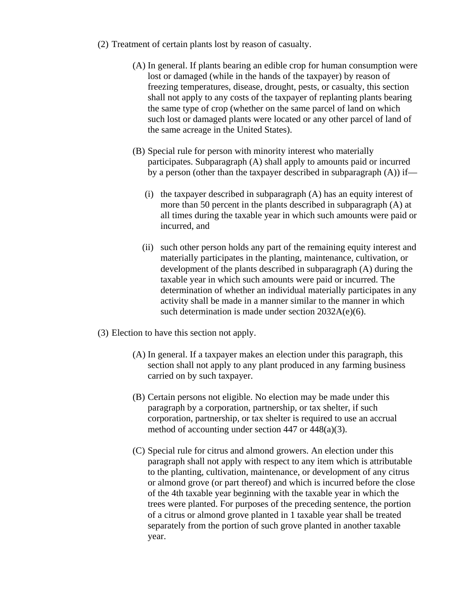- (2) Treatment of certain plants lost by reason of casualty.
	- (A) In general. If plants bearing an edible crop for human consumption were lost or damaged (while in the hands of the taxpayer) by reason of freezing temperatures, disease, drought, pests, or casualty, this section shall not apply to any costs of the taxpayer of replanting plants bearing the same type of crop (whether on the same parcel of land on which such lost or damaged plants were located or any other parcel of land of the same acreage in the United States).
	- (B) Special rule for person with minority interest who materially participates. Subparagraph (A) shall apply to amounts paid or incurred by a person (other than the taxpayer described in subparagraph  $(A)$ ) if—
		- (i) the taxpayer described in subparagraph (A) has an equity interest of more than 50 percent in the plants described in subparagraph (A) at all times during the taxable year in which such amounts were paid or incurred, and
		- (ii) such other person holds any part of the remaining equity interest and materially participates in the planting, maintenance, cultivation, or development of the plants described in subparagraph (A) during the taxable year in which such amounts were paid or incurred. The determination of whether an individual materially participates in any activity shall be made in a manner similar to the manner in which such determination is made under section 2032A(e)(6).
- (3) Election to have this section not apply.
	- (A) In general. If a taxpayer makes an election under this paragraph, this section shall not apply to any plant produced in any farming business carried on by such taxpayer.
	- (B) Certain persons not eligible. No election may be made under this paragraph by a corporation, partnership, or tax shelter, if such corporation, partnership, or tax shelter is required to use an accrual method of accounting under section 447 or 448(a)(3).
	- (C) Special rule for citrus and almond growers. An election under this paragraph shall not apply with respect to any item which is attributable to the planting, cultivation, maintenance, or development of any citrus or almond grove (or part thereof) and which is incurred before the close of the 4th taxable year beginning with the taxable year in which the trees were planted. For purposes of the preceding sentence, the portion of a citrus or almond grove planted in 1 taxable year shall be treated separately from the portion of such grove planted in another taxable year.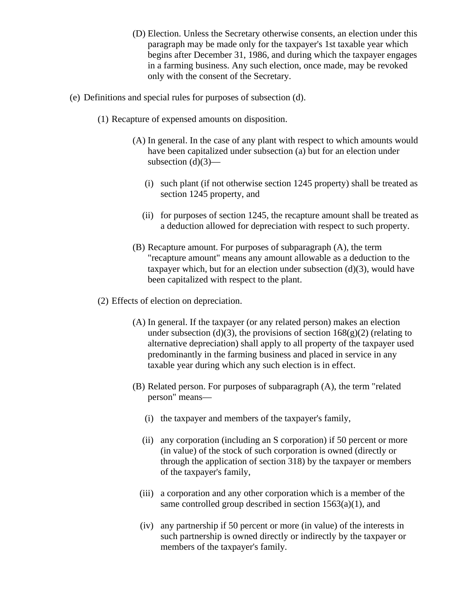- (D) Election. Unless the Secretary otherwise consents, an election under this paragraph may be made only for the taxpayer's 1st taxable year which begins after December 31, 1986, and during which the taxpayer engages in a farming business. Any such election, once made, may be revoked only with the consent of the Secretary.
- (e) Definitions and special rules for purposes of subsection (d).
	- (1) Recapture of expensed amounts on disposition.
		- (A) In general. In the case of any plant with respect to which amounts would have been capitalized under subsection (a) but for an election under subsection  $(d)(3)$ —
			- (i) such plant (if not otherwise section 1245 property) shall be treated as section 1245 property, and
			- (ii) for purposes of section 1245, the recapture amount shall be treated as a deduction allowed for depreciation with respect to such property.
		- (B) Recapture amount. For purposes of subparagraph (A), the term "recapture amount" means any amount allowable as a deduction to the taxpayer which, but for an election under subsection  $(d)(3)$ , would have been capitalized with respect to the plant.
	- (2) Effects of election on depreciation.
		- (A) In general. If the taxpayer (or any related person) makes an election under subsection (d)(3), the provisions of section  $168(g)(2)$  (relating to alternative depreciation) shall apply to all property of the taxpayer used predominantly in the farming business and placed in service in any taxable year during which any such election is in effect.
		- (B) Related person. For purposes of subparagraph (A), the term "related person" means—
			- (i) the taxpayer and members of the taxpayer's family,
			- (ii) any corporation (including an S corporation) if 50 percent or more (in value) of the stock of such corporation is owned (directly or through the application of section 318) by the taxpayer or members of the taxpayer's family,
			- (iii) a corporation and any other corporation which is a member of the same controlled group described in section  $1563(a)(1)$ , and
			- (iv) any partnership if 50 percent or more (in value) of the interests in such partnership is owned directly or indirectly by the taxpayer or members of the taxpayer's family.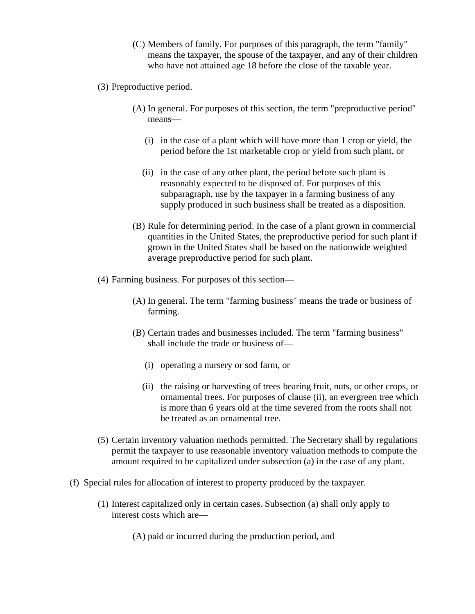- (C) Members of family. For purposes of this paragraph, the term "family" means the taxpayer, the spouse of the taxpayer, and any of their children who have not attained age 18 before the close of the taxable year.
- (3) Preproductive period.
	- (A) In general. For purposes of this section, the term "preproductive period" means—
		- (i) in the case of a plant which will have more than 1 crop or yield, the period before the 1st marketable crop or yield from such plant, or
		- (ii) in the case of any other plant, the period before such plant is reasonably expected to be disposed of. For purposes of this subparagraph, use by the taxpayer in a farming business of any supply produced in such business shall be treated as a disposition.
	- (B) Rule for determining period. In the case of a plant grown in commercial quantities in the United States, the preproductive period for such plant if grown in the United States shall be based on the nationwide weighted average preproductive period for such plant.
- (4) Farming business. For purposes of this section—
	- (A) In general. The term "farming business" means the trade or business of farming.
	- (B) Certain trades and businesses included. The term "farming business" shall include the trade or business of—
		- (i) operating a nursery or sod farm, or
		- (ii) the raising or harvesting of trees bearing fruit, nuts, or other crops, or ornamental trees. For purposes of clause (ii), an evergreen tree which is more than 6 years old at the time severed from the roots shall not be treated as an ornamental tree.
- (5) Certain inventory valuation methods permitted. The Secretary shall by regulations permit the taxpayer to use reasonable inventory valuation methods to compute the amount required to be capitalized under subsection (a) in the case of any plant.
- (f) Special rules for allocation of interest to property produced by the taxpayer.
	- (1) Interest capitalized only in certain cases. Subsection (a) shall only apply to interest costs which are—
		- (A) paid or incurred during the production period, and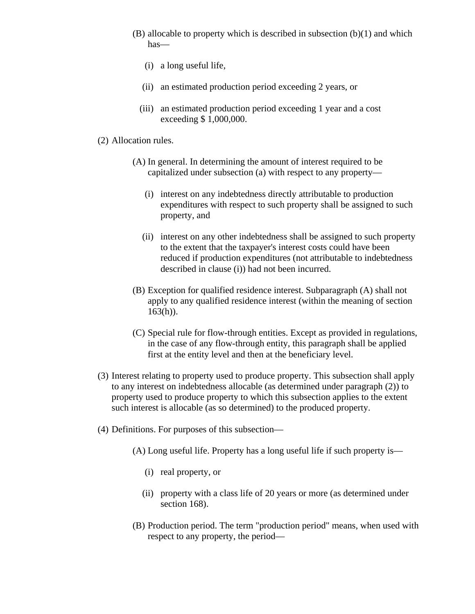- $(B)$  allocable to property which is described in subsection  $(b)(1)$  and which has—
	- (i) a long useful life,
	- (ii) an estimated production period exceeding 2 years, or
	- (iii) an estimated production period exceeding 1 year and a cost exceeding \$ 1,000,000.

## (2) Allocation rules.

- (A) In general. In determining the amount of interest required to be capitalized under subsection (a) with respect to any property—
	- (i) interest on any indebtedness directly attributable to production expenditures with respect to such property shall be assigned to such property, and
	- (ii) interest on any other indebtedness shall be assigned to such property to the extent that the taxpayer's interest costs could have been reduced if production expenditures (not attributable to indebtedness described in clause (i)) had not been incurred.
- (B) Exception for qualified residence interest. Subparagraph (A) shall not apply to any qualified residence interest (within the meaning of section  $163(h)$ ).
- (C) Special rule for flow-through entities. Except as provided in regulations, in the case of any flow-through entity, this paragraph shall be applied first at the entity level and then at the beneficiary level.
- (3) Interest relating to property used to produce property. This subsection shall apply to any interest on indebtedness allocable (as determined under paragraph (2)) to property used to produce property to which this subsection applies to the extent such interest is allocable (as so determined) to the produced property.
- (4) Definitions. For purposes of this subsection—
	- (A) Long useful life. Property has a long useful life if such property is—
		- (i) real property, or
		- (ii) property with a class life of 20 years or more (as determined under section 168).
	- (B) Production period. The term "production period" means, when used with respect to any property, the period—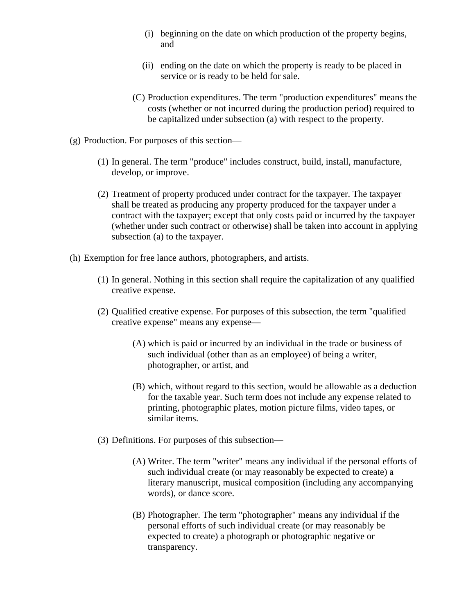- (i) beginning on the date on which production of the property begins, and
- (ii) ending on the date on which the property is ready to be placed in service or is ready to be held for sale.
- (C) Production expenditures. The term "production expenditures" means the costs (whether or not incurred during the production period) required to be capitalized under subsection (a) with respect to the property.
- (g) Production. For purposes of this section—
	- (1) In general. The term "produce" includes construct, build, install, manufacture, develop, or improve.
	- (2) Treatment of property produced under contract for the taxpayer. The taxpayer shall be treated as producing any property produced for the taxpayer under a contract with the taxpayer; except that only costs paid or incurred by the taxpayer (whether under such contract or otherwise) shall be taken into account in applying subsection (a) to the taxpayer.
- (h) Exemption for free lance authors, photographers, and artists.
	- (1) In general. Nothing in this section shall require the capitalization of any qualified creative expense.
	- (2) Qualified creative expense. For purposes of this subsection, the term "qualified creative expense" means any expense—
		- (A) which is paid or incurred by an individual in the trade or business of such individual (other than as an employee) of being a writer, photographer, or artist, and
		- (B) which, without regard to this section, would be allowable as a deduction for the taxable year. Such term does not include any expense related to printing, photographic plates, motion picture films, video tapes, or similar items.
	- (3) Definitions. For purposes of this subsection—
		- (A) Writer. The term "writer" means any individual if the personal efforts of such individual create (or may reasonably be expected to create) a literary manuscript, musical composition (including any accompanying words), or dance score.
		- (B) Photographer. The term "photographer" means any individual if the personal efforts of such individual create (or may reasonably be expected to create) a photograph or photographic negative or transparency.